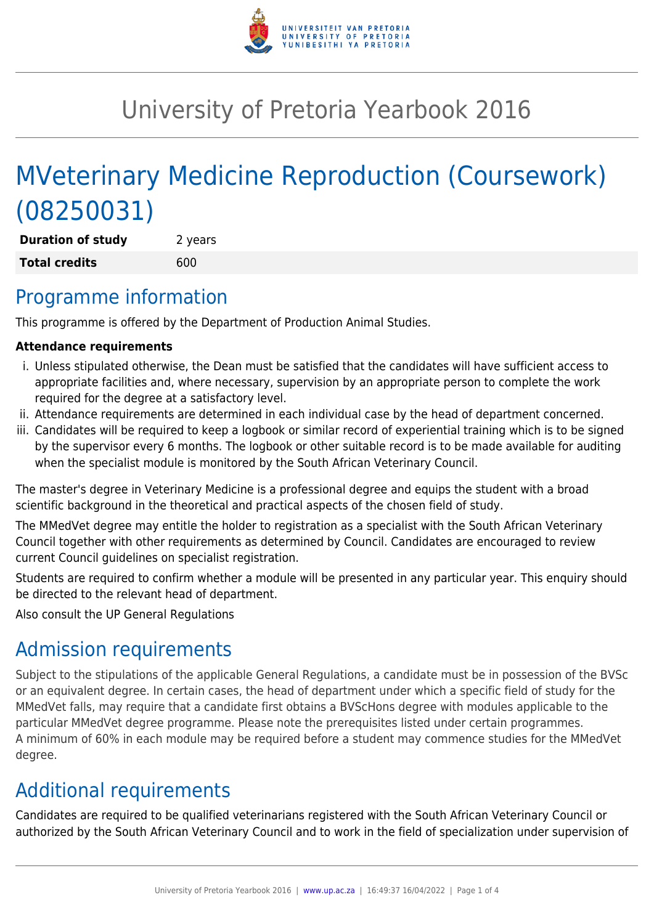

# University of Pretoria Yearbook 2016

# MVeterinary Medicine Reproduction (Coursework) (08250031)

**Duration of study** 2 years **Total credits** 600

## Programme information

This programme is offered by the Department of Production Animal Studies.

#### **Attendance requirements**

- i. Unless stipulated otherwise, the Dean must be satisfied that the candidates will have sufficient access to appropriate facilities and, where necessary, supervision by an appropriate person to complete the work required for the degree at a satisfactory level.
- ii. Attendance requirements are determined in each individual case by the head of department concerned.
- iii. Candidates will be required to keep a logbook or similar record of experiential training which is to be signed by the supervisor every 6 months. The logbook or other suitable record is to be made available for auditing when the specialist module is monitored by the South African Veterinary Council.

The master's degree in Veterinary Medicine is a professional degree and equips the student with a broad scientific background in the theoretical and practical aspects of the chosen field of study.

The MMedVet degree may entitle the holder to registration as a specialist with the South African Veterinary Council together with other requirements as determined by Council. Candidates are encouraged to review current Council guidelines on specialist registration.

Students are required to confirm whether a module will be presented in any particular year. This enquiry should be directed to the relevant head of department.

Also consult the UP General Regulations

# Admission requirements

Subject to the stipulations of the applicable General Regulations, a candidate must be in possession of the BVSc or an equivalent degree. In certain cases, the head of department under which a specific field of study for the MMedVet falls, may require that a candidate first obtains a BVScHons degree with modules applicable to the particular MMedVet degree programme. Please note the prerequisites listed under certain programmes. A minimum of 60% in each module may be required before a student may commence studies for the MMedVet degree.

# Additional requirements

Candidates are required to be qualified veterinarians registered with the South African Veterinary Council or authorized by the South African Veterinary Council and to work in the field of specialization under supervision of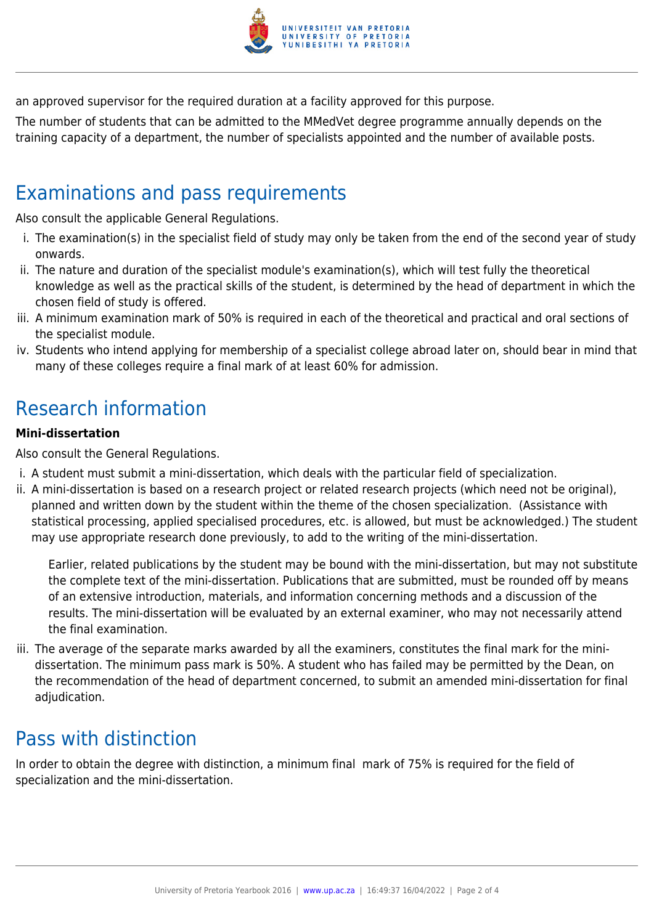

an approved supervisor for the required duration at a facility approved for this purpose.

The number of students that can be admitted to the MMedVet degree programme annually depends on the training capacity of a department, the number of specialists appointed and the number of available posts.

## Examinations and pass requirements

Also consult the applicable General Regulations.

- i. The examination(s) in the specialist field of study may only be taken from the end of the second year of study onwards.
- ii. The nature and duration of the specialist module's examination(s), which will test fully the theoretical knowledge as well as the practical skills of the student, is determined by the head of department in which the chosen field of study is offered.
- iii. A minimum examination mark of 50% is required in each of the theoretical and practical and oral sections of the specialist module.
- iv. Students who intend applying for membership of a specialist college abroad later on, should bear in mind that many of these colleges require a final mark of at least 60% for admission.

# Research information

#### **Mini-dissertation**

Also consult the General Regulations.

- i. A student must submit a mini-dissertation, which deals with the particular field of specialization.
- ii. A mini-dissertation is based on a research project or related research projects (which need not be original), planned and written down by the student within the theme of the chosen specialization. (Assistance with statistical processing, applied specialised procedures, etc. is allowed, but must be acknowledged.) The student may use appropriate research done previously, to add to the writing of the mini-dissertation.

Earlier, related publications by the student may be bound with the mini-dissertation, but may not substitute the complete text of the mini-dissertation. Publications that are submitted, must be rounded off by means of an extensive introduction, materials, and information concerning methods and a discussion of the results. The mini-dissertation will be evaluated by an external examiner, who may not necessarily attend the final examination.

iii. The average of the separate marks awarded by all the examiners, constitutes the final mark for the minidissertation. The minimum pass mark is 50%. A student who has failed may be permitted by the Dean, on the recommendation of the head of department concerned, to submit an amended mini-dissertation for final adiudication.

### Pass with distinction

In order to obtain the degree with distinction, a minimum final mark of 75% is required for the field of specialization and the mini-dissertation.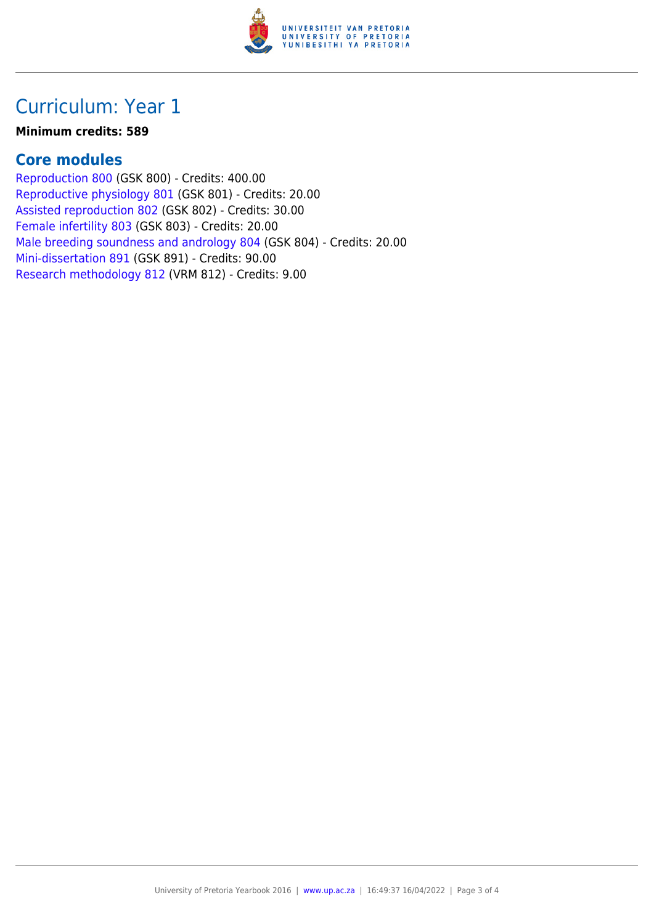

### Curriculum: Year 1

#### **Minimum credits: 589**

#### **Core modules**

[Reproduction 800](https://www.up.ac.za/mechanical-and-aeronautical-engineering/yearbooks/2016/modules/view/GSK 800) (GSK 800) - Credits: 400.00 [Reproductive physiology 801](https://www.up.ac.za/mechanical-and-aeronautical-engineering/yearbooks/2016/modules/view/GSK 801) (GSK 801) - Credits: 20.00 [Assisted reproduction 802](https://www.up.ac.za/mechanical-and-aeronautical-engineering/yearbooks/2016/modules/view/GSK 802) (GSK 802) - Credits: 30.00 [Female infertility 803](https://www.up.ac.za/mechanical-and-aeronautical-engineering/yearbooks/2016/modules/view/GSK 803) (GSK 803) - Credits: 20.00 [Male breeding soundness and andrology 804](https://www.up.ac.za/mechanical-and-aeronautical-engineering/yearbooks/2016/modules/view/GSK 804) (GSK 804) - Credits: 20.00 [Mini-dissertation 891](https://www.up.ac.za/mechanical-and-aeronautical-engineering/yearbooks/2016/modules/view/GSK 891) (GSK 891) - Credits: 90.00 [Research methodology 812](https://www.up.ac.za/mechanical-and-aeronautical-engineering/yearbooks/2016/modules/view/VRM 812) (VRM 812) - Credits: 9.00